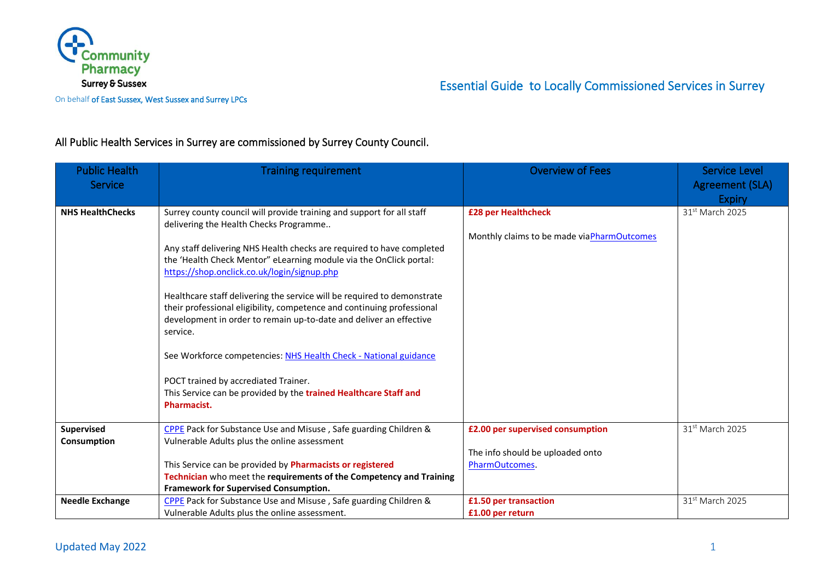

On behalf of East Sussex, West Sussex and Surrey LPCs

## All Public Health Services in Surrey are commissioned by Surrey County Council.

| <b>Public Health</b><br>Service | <b>Training requirement</b>                                                                                     | <b>Overview of Fees</b>                    | <b>Service Level</b><br>Agreement (SLA)<br><b>Expiry</b> |
|---------------------------------|-----------------------------------------------------------------------------------------------------------------|--------------------------------------------|----------------------------------------------------------|
| <b>NHS HealthChecks</b>         | Surrey county council will provide training and support for all staff<br>delivering the Health Checks Programme | £28 per Healthcheck                        | 31 <sup>st</sup> March 2025                              |
|                                 |                                                                                                                 | Monthly claims to be made viaPharmOutcomes |                                                          |
|                                 | Any staff delivering NHS Health checks are required to have completed                                           |                                            |                                                          |
|                                 | the 'Health Check Mentor" eLearning module via the OnClick portal:                                              |                                            |                                                          |
|                                 | https://shop.onclick.co.uk/login/signup.php                                                                     |                                            |                                                          |
|                                 | Healthcare staff delivering the service will be required to demonstrate                                         |                                            |                                                          |
|                                 | their professional eligibility, competence and continuing professional                                          |                                            |                                                          |
|                                 | development in order to remain up-to-date and deliver an effective                                              |                                            |                                                          |
|                                 | service.                                                                                                        |                                            |                                                          |
|                                 | See Workforce competencies: NHS Health Check - National guidance                                                |                                            |                                                          |
|                                 | POCT trained by accrediated Trainer.                                                                            |                                            |                                                          |
|                                 | This Service can be provided by the trained Healthcare Staff and                                                |                                            |                                                          |
|                                 | Pharmacist.                                                                                                     |                                            |                                                          |
| Supervised                      | CPPE Pack for Substance Use and Misuse, Safe guarding Children &                                                | £2.00 per supervised consumption           | 31 <sup>st</sup> March 2025                              |
| Consumption                     | Vulnerable Adults plus the online assessment                                                                    |                                            |                                                          |
|                                 |                                                                                                                 | The info should be uploaded onto           |                                                          |
|                                 | This Service can be provided by Pharmacists or registered                                                       | PharmOutcomes.                             |                                                          |
|                                 | Technician who meet the requirements of the Competency and Training                                             |                                            |                                                          |
|                                 | Framework for Supervised Consumption.                                                                           |                                            |                                                          |
| <b>Needle Exchange</b>          | CPPE Pack for Substance Use and Misuse, Safe guarding Children &                                                | £1.50 per transaction                      | 31 <sup>st</sup> March 2025                              |
|                                 | Vulnerable Adults plus the online assessment.                                                                   | £1.00 per return                           |                                                          |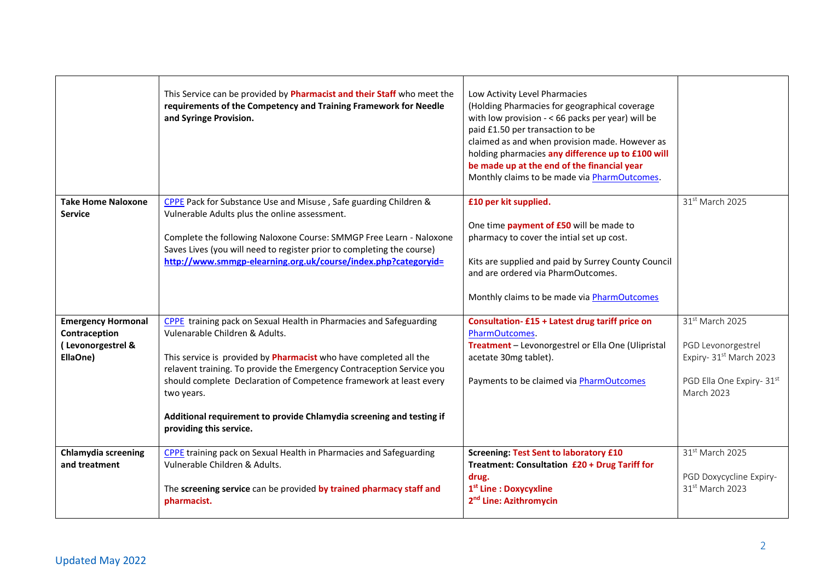|                                                                             | This Service can be provided by Pharmacist and their Staff who meet the<br>requirements of the Competency and Training Framework for Needle<br>and Syringe Provision.                                                                                                                                                                                                                                                                     | Low Activity Level Pharmacies<br>(Holding Pharmacies for geographical coverage<br>with low provision - < 66 packs per year) will be<br>paid £1.50 per transaction to be<br>claimed as and when provision made. However as<br>holding pharmacies any difference up to £100 will<br>be made up at the end of the financial year<br>Monthly claims to be made via PharmOutcomes. |                                                                                                                                |
|-----------------------------------------------------------------------------|-------------------------------------------------------------------------------------------------------------------------------------------------------------------------------------------------------------------------------------------------------------------------------------------------------------------------------------------------------------------------------------------------------------------------------------------|-------------------------------------------------------------------------------------------------------------------------------------------------------------------------------------------------------------------------------------------------------------------------------------------------------------------------------------------------------------------------------|--------------------------------------------------------------------------------------------------------------------------------|
| <b>Take Home Naloxone</b><br><b>Service</b>                                 | CPPE Pack for Substance Use and Misuse, Safe guarding Children &<br>Vulnerable Adults plus the online assessment.<br>Complete the following Naloxone Course: SMMGP Free Learn - Naloxone<br>Saves Lives (you will need to register prior to completing the course)<br>http://www.smmgp-elearning.org.uk/course/index.php?categoryid=                                                                                                      | £10 per kit supplied.<br>One time payment of £50 will be made to<br>pharmacy to cover the intial set up cost.<br>Kits are supplied and paid by Surrey County Council<br>and are ordered via PharmOutcomes.<br>Monthly claims to be made via PharmOutcomes                                                                                                                     | 31st March 2025                                                                                                                |
| <b>Emergency Hormonal</b><br>Contraception<br>(Levonorgestrel &<br>EllaOne) | CPPE training pack on Sexual Health in Pharmacies and Safeguarding<br>Vulenarable Children & Adults.<br>This service is provided by Pharmacist who have completed all the<br>relavent training. To provide the Emergency Contraception Service you<br>should complete Declaration of Competence framework at least every<br>two years.<br>Additional requirement to provide Chlamydia screening and testing if<br>providing this service. | Consultation- £15 + Latest drug tariff price on<br>PharmOutcomes.<br>Treatment - Levonorgestrel or Ella One (Ulipristal<br>acetate 30mg tablet).<br>Payments to be claimed via PharmOutcomes                                                                                                                                                                                  | 31st March 2025<br>PGD Levonorgestrel<br>Expiry- 31 <sup>st</sup> March 2023<br>PGD Ella One Expiry- 31st<br><b>March 2023</b> |
| <b>Chlamydia screening</b><br>and treatment                                 | <b>CPPE</b> training pack on Sexual Health in Pharmacies and Safeguarding<br>Vulnerable Children & Adults.<br>The screening service can be provided by trained pharmacy staff and<br>pharmacist.                                                                                                                                                                                                                                          | <b>Screening: Test Sent to laboratory £10</b><br>Treatment: Consultation £20 + Drug Tariff for<br>drug.<br>1 <sup>st</sup> Line : Doxycyxline<br>2 <sup>nd</sup> Line: Azithromycin                                                                                                                                                                                           | 31st March 2025<br>PGD Doxycycline Expiry-<br>31 <sup>st</sup> March 2023                                                      |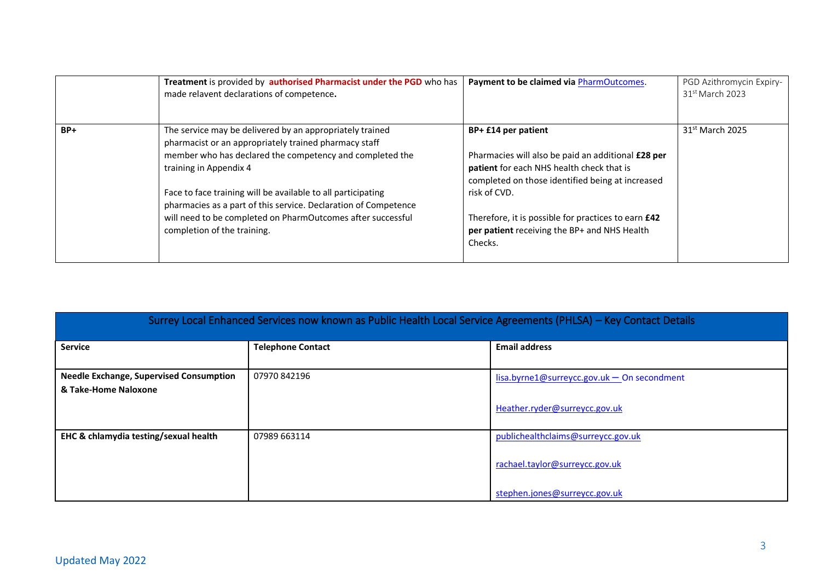|     | Treatment is provided by authorised Pharmacist under the PGD who has<br>made relavent declarations of competence.                                                                                                                                                                                                                                                                                                                        | Payment to be claimed via PharmOutcomes.                                                                                                                                                                                                                                                                            | PGD Azithromycin Expiry-<br>$31st$ March 2023 |
|-----|------------------------------------------------------------------------------------------------------------------------------------------------------------------------------------------------------------------------------------------------------------------------------------------------------------------------------------------------------------------------------------------------------------------------------------------|---------------------------------------------------------------------------------------------------------------------------------------------------------------------------------------------------------------------------------------------------------------------------------------------------------------------|-----------------------------------------------|
| BP+ | The service may be delivered by an appropriately trained<br>pharmacist or an appropriately trained pharmacy staff<br>member who has declared the competency and completed the<br>training in Appendix 4<br>Face to face training will be available to all participating<br>pharmacies as a part of this service. Declaration of Competence<br>will need to be completed on PharmOutcomes after successful<br>completion of the training. | BP+ £14 per patient<br>Pharmacies will also be paid an additional £28 per<br>patient for each NHS health check that is<br>completed on those identified being at increased<br>risk of CVD.<br>Therefore, it is possible for practices to earn <b>£42</b><br>per patient receiving the BP+ and NHS Health<br>Checks. | 31 <sup>st</sup> March 2025                   |

| Surrey Local Enhanced Services now known as Public Health Local Service Agreements (PHLSA) – Key Contact Details |                          |                                                                                                       |  |
|------------------------------------------------------------------------------------------------------------------|--------------------------|-------------------------------------------------------------------------------------------------------|--|
| <b>Service</b>                                                                                                   | <b>Telephone Contact</b> | <b>Email address</b>                                                                                  |  |
| <b>Needle Exchange, Supervised Consumption</b><br>& Take-Home Naloxone                                           | 07970842196              | $lisa.byrne1@surreycc.gov.uk - On secondment$<br>Heather.ryder@surreycc.gov.uk                        |  |
| EHC & chlamydia testing/sexual health                                                                            | 07989 663114             | publichealthclaims@surreycc.gov.uk<br>rachael.taylor@surreycc.gov.uk<br>stephen.jones@surreycc.gov.uk |  |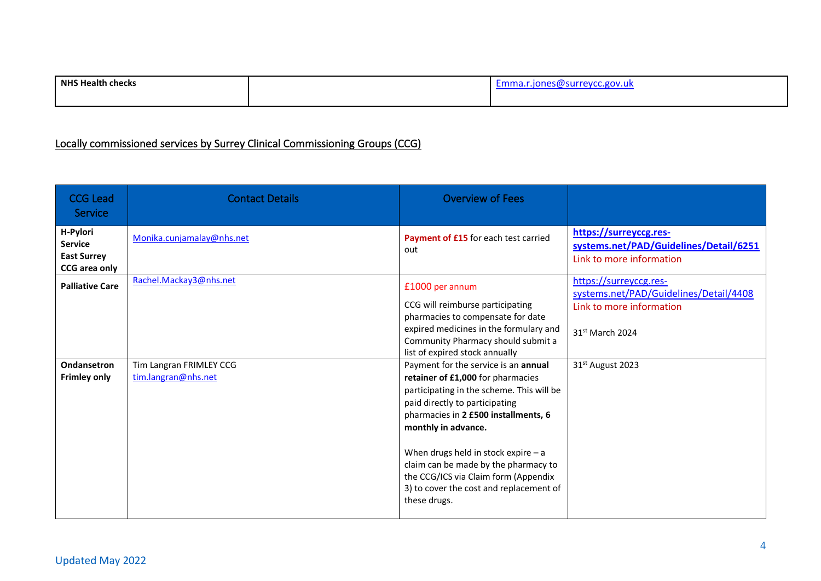| <b>NHS Health</b><br>ı checks | evcc.gov.uk^<br>:mma.i<br>'su |
|-------------------------------|-------------------------------|
|                               |                               |

# Locally commissioned services by Surrey Clinical Commissioning Groups (CCG)

| <b>CCG Lead</b><br>Service                                        | <b>Contact Details</b>                         | <b>Overview of Fees</b>                                                                                                                                                                                                                                                                                                                                                                                     |                                                                                                                             |
|-------------------------------------------------------------------|------------------------------------------------|-------------------------------------------------------------------------------------------------------------------------------------------------------------------------------------------------------------------------------------------------------------------------------------------------------------------------------------------------------------------------------------------------------------|-----------------------------------------------------------------------------------------------------------------------------|
| H-Pylori<br><b>Service</b><br><b>East Surrey</b><br>CCG area only | Monika.cunjamalay@nhs.net                      | Payment of £15 for each test carried<br>out                                                                                                                                                                                                                                                                                                                                                                 | https://surreyccg.res-<br>systems.net/PAD/Guidelines/Detail/6251<br>Link to more information                                |
| <b>Palliative Care</b>                                            | Rachel.Mackay3@nhs.net                         | £1000 per annum<br>CCG will reimburse participating<br>pharmacies to compensate for date<br>expired medicines in the formulary and<br>Community Pharmacy should submit a<br>list of expired stock annually                                                                                                                                                                                                  | https://surreyccg.res-<br>systems.net/PAD/Guidelines/Detail/4408<br>Link to more information<br>31 <sup>st</sup> March 2024 |
| Ondansetron<br><b>Frimley only</b>                                | Tim Langran FRIMLEY CCG<br>tim.langran@nhs.net | Payment for the service is an annual<br>retainer of £1,000 for pharmacies<br>participating in the scheme. This will be<br>paid directly to participating<br>pharmacies in 2 £500 installments, 6<br>monthly in advance.<br>When drugs held in stock expire $- a$<br>claim can be made by the pharmacy to<br>the CCG/ICS via Claim form (Appendix<br>3) to cover the cost and replacement of<br>these drugs. | 31 <sup>st</sup> August 2023                                                                                                |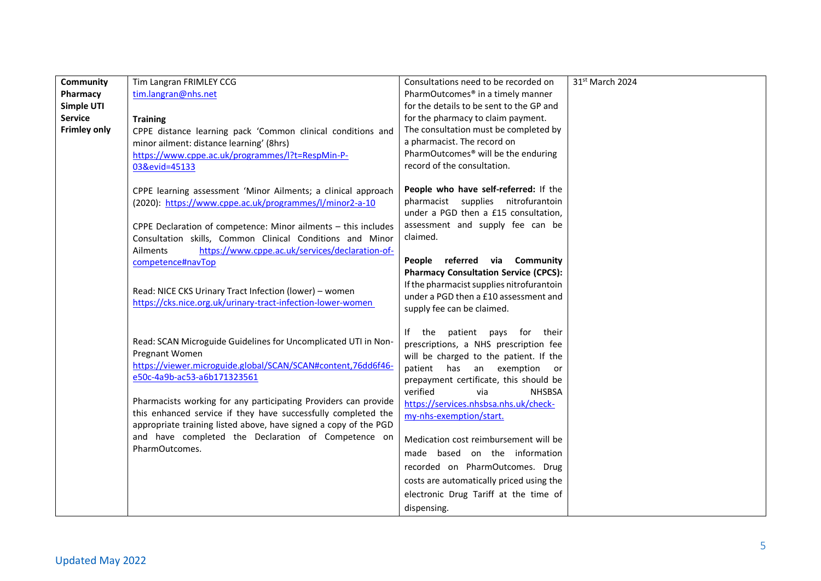| tim.langran@nhs.net<br>PharmOutcomes <sup>®</sup> in a timely manner<br>Pharmacy                                                                               |  |
|----------------------------------------------------------------------------------------------------------------------------------------------------------------|--|
| Simple UTI<br>for the details to be sent to the GP and                                                                                                         |  |
| <b>Service</b><br>for the pharmacy to claim payment.<br><b>Training</b>                                                                                        |  |
| <b>Frimley only</b><br>The consultation must be completed by<br>CPPE distance learning pack 'Common clinical conditions and                                    |  |
| a pharmacist. The record on<br>minor ailment: distance learning' (8hrs)                                                                                        |  |
| PharmOutcomes <sup>®</sup> will be the enduring<br>https://www.cppe.ac.uk/programmes/l?t=RespMin-P-                                                            |  |
| record of the consultation.<br>03&evid=45133                                                                                                                   |  |
| People who have self-referred: If the                                                                                                                          |  |
| CPPE learning assessment 'Minor Ailments; a clinical approach<br>pharmacist supplies nitrofurantoin<br>(2020): https://www.cppe.ac.uk/programmes/l/minor2-a-10 |  |
| under a PGD then a £15 consultation,                                                                                                                           |  |
| assessment and supply fee can be<br>CPPE Declaration of competence: Minor ailments - this includes                                                             |  |
| claimed.<br>Consultation skills, Common Clinical Conditions and Minor                                                                                          |  |
| https://www.cppe.ac.uk/services/declaration-of-<br>Ailments                                                                                                    |  |
| People referred via Community<br>competence#navTop                                                                                                             |  |
| <b>Pharmacy Consultation Service (CPCS):</b>                                                                                                                   |  |
| If the pharmacist supplies nitrofurantoin<br>Read: NICE CKS Urinary Tract Infection (lower) - women                                                            |  |
| under a PGD then a £10 assessment and<br>https://cks.nice.org.uk/urinary-tract-infection-lower-women                                                           |  |
| supply fee can be claimed.                                                                                                                                     |  |
| If the patient pays for their                                                                                                                                  |  |
| Read: SCAN Microguide Guidelines for Uncomplicated UTI in Non-<br>prescriptions, a NHS prescription fee                                                        |  |
| Pregnant Women<br>will be charged to the patient. If the                                                                                                       |  |
| https://viewer.microguide.global/SCAN/SCAN#content,76dd6f46-<br>patient has an exemption or                                                                    |  |
| e50c-4a9b-ac53-a6b171323561<br>prepayment certificate, this should be                                                                                          |  |
| verified<br><b>NHSBSA</b><br>via                                                                                                                               |  |
| Pharmacists working for any participating Providers can provide<br>https://services.nhsbsa.nhs.uk/check-                                                       |  |
| this enhanced service if they have successfully completed the<br>my-nhs-exemption/start.                                                                       |  |
| appropriate training listed above, have signed a copy of the PGD<br>and have completed the Declaration of Competence on                                        |  |
| Medication cost reimbursement will be<br>PharmOutcomes.                                                                                                        |  |
| made based on the information                                                                                                                                  |  |
| recorded on PharmOutcomes. Drug                                                                                                                                |  |
| costs are automatically priced using the                                                                                                                       |  |
| electronic Drug Tariff at the time of                                                                                                                          |  |
| dispensing.                                                                                                                                                    |  |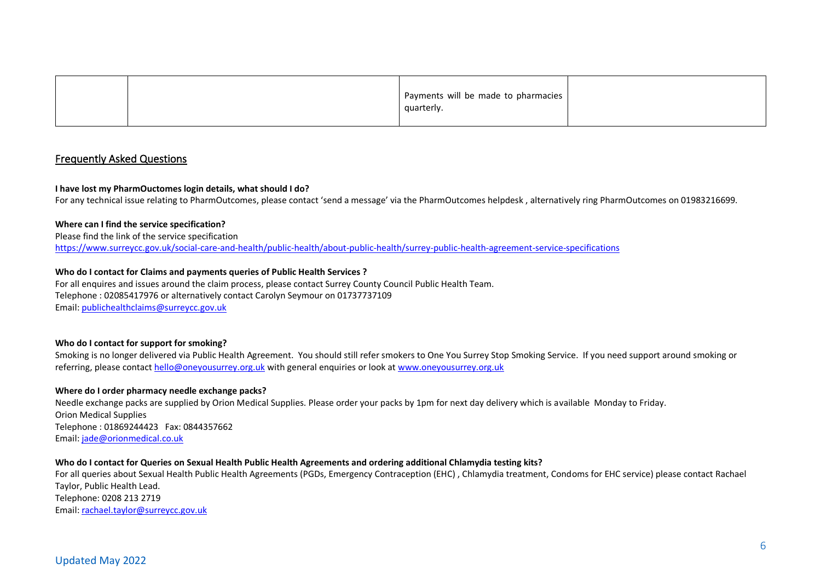|  | Payments will be made to pharmacies<br>quarterly. |  |
|--|---------------------------------------------------|--|
|--|---------------------------------------------------|--|

### Frequently Asked Questions

#### **I have lost my PharmOuctomes login details, what should I do?**

For any technical issue relating to PharmOutcomes, please contact 'send a message' via the PharmOutcomes helpdesk , alternatively ring PharmOutcomes on 01983216699.

#### **Where can I find the service specification?**

Please find the link of the service specification <https://www.surreycc.gov.uk/social-care-and-health/public-health/about-public-health/surrey-public-health-agreement-service-specifications>

#### **Who do I contact for Claims and payments queries of Public Health Services ?**

For all enquires and issues around the claim process, please contact Surrey County Council Public Health Team. Telephone : 02085417976 or alternatively contact Carolyn Seymour on 01737737109 Email: [publichealthclaims@surreycc.gov.uk](mailto:publichealthclaims@surreycc.gov.uk)

#### **Who do I contact for support for smoking?**

Smoking is no longer delivered via Public Health Agreement. You should still refer smokers to One You Surrey Stop Smoking Service. If you need support around smoking or referring, please contact [hello@oneyousurrey.org.uk](mailto:hello@oneyousurrey.org.uk) with general enquiries or look at [www.oneyousurrey.org.uk](http://www.oneyousurrey.org.uk/)

#### **Where do I order pharmacy needle exchange packs?**

Needle exchange packs are supplied by Orion Medical Supplies. Please order your packs by 1pm for next day delivery which is available Monday to Friday. Orion Medical Supplies Telephone : 01869244423 Fax: 0844357662 Email: [jade@orionmedical.co.uk](mailto:jade@orionmedical.co.uk)

#### **Who do I contact for Queries on Sexual Health Public Health Agreements and ordering additional Chlamydia testing kits?**

For all queries about Sexual Health Public Health Agreements (PGDs, Emergency Contraception (EHC) , Chlamydia treatment, Condoms for EHC service) please contact Rachael Taylor, Public Health Lead. Telephone: 0208 213 2719 Email: [rachael.taylor@surreycc.gov.uk](mailto:rachael.taylor@surreycc.gov.uk)